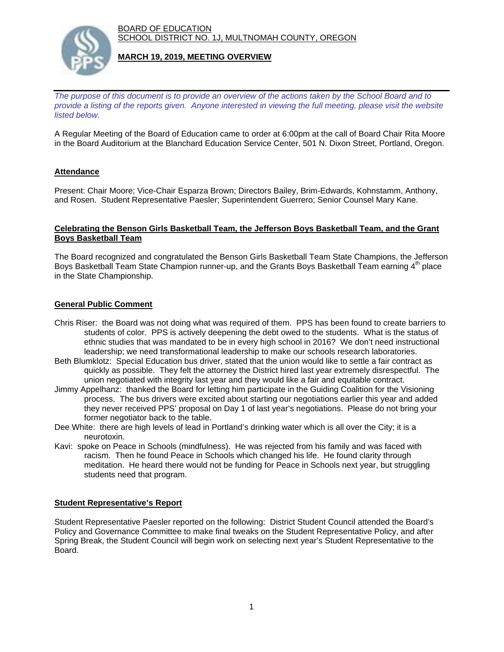BOARD OF EDUCATION SCHOOL DISTRICT NO. 1J, MULTNOMAH COUNTY, OREGON



### **MARCH 19, 2019, MEETING OVERVIEW**

*The purpose of this document is to provide an overview of the actions taken by the School Board and to provide a listing of the reports given. Anyone interested in viewing the full meeting, please visit the website listed below.*

A Regular Meeting of the Board of Education came to order at 6:00pm at the call of Board Chair Rita Moore in the Board Auditorium at the Blanchard Education Service Center, 501 N. Dixon Street, Portland, Oregon.

# **Attendance**

Present: Chair Moore; Vice-Chair Esparza Brown; Directors Bailey, Brim-Edwards, Kohnstamm, Anthony, and Rosen. Student Representative Paesler; Superintendent Guerrero; Senior Counsel Mary Kane.

#### **Celebrating the Benson Girls Basketball Team, the Jefferson Boys Basketball Team, and the Grant Boys Basketball Team**

The Board recognized and congratulated the Benson Girls Basketball Team State Champions, the Jefferson Boys Basketball Team State Champion runner-up, and the Grants Boys Basketball Team earning  $4<sup>th</sup>$  place in the State Championship.

### **General Public Comment**

- Chris Riser: the Board was not doing what was required of them. PPS has been found to create barriers to students of color. PPS is actively deepening the debt owed to the students. What is the status of ethnic studies that was mandated to be in every high school in 2016? We don't need instructional leadership; we need transformational leadership to make our schools research laboratories.
- Beth Blumklotz: Special Education bus driver, stated that the union would like to settle a fair contract as quickly as possible. They felt the attorney the District hired last year extremely disrespectful. The union negotiated with integrity last year and they would like a fair and equitable contract.
- Jimmy Appelhanz: thanked the Board for letting him participate in the Guiding Coalition for the Visioning process. The bus drivers were excited about starting our negotiations earlier this year and added they never received PPS' proposal on Day 1 of last year's negotiations. Please do not bring your former negotiator back to the table.
- Dee White: there are high levels of lead in Portland's drinking water which is all over the City; it is a neurotoxin.
- Kavi: spoke on Peace in Schools (mindfulness). He was rejected from his family and was faced with racism. Then he found Peace in Schools which changed his life. He found clarity through meditation. He heard there would not be funding for Peace in Schools next year, but struggling students need that program.

#### **Student Representative's Report**

Student Representative Paesler reported on the following: District Student Council attended the Board's Policy and Governance Committee to make final tweaks on the Student Representative Policy, and after Spring Break, the Student Council will begin work on selecting next year's Student Representative to the Board.